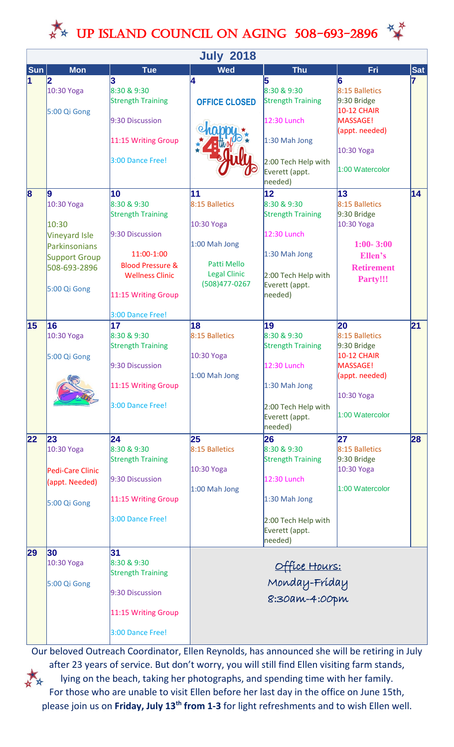

| <b>July 2018</b>        |                                                                                                                     |                                                                                                                                                                                    |                                                                                                            |                                                                                                                                   |                                                                                                                           |            |  |  |
|-------------------------|---------------------------------------------------------------------------------------------------------------------|------------------------------------------------------------------------------------------------------------------------------------------------------------------------------------|------------------------------------------------------------------------------------------------------------|-----------------------------------------------------------------------------------------------------------------------------------|---------------------------------------------------------------------------------------------------------------------------|------------|--|--|
| <b>Sun</b>              | <b>Mon</b>                                                                                                          | <b>Tue</b>                                                                                                                                                                         | <b>Wed</b>                                                                                                 | <b>Thu</b>                                                                                                                        | <b>Fri</b>                                                                                                                | <b>Sat</b> |  |  |
| 1                       | 10:30 Yoga<br>5:00 Qi Gong                                                                                          | 3<br>8:30 & 9:30<br><b>Strength Training</b><br>9:30 Discussion<br>11:15 Writing Group<br>3:00 Dance Free!                                                                         | 4<br><b>OFFICE CLOSED</b>                                                                                  | 5<br>8:30 & 9:30<br><b>Strength Training</b><br>12:30 Lunch<br>1:30 Mah Jong<br>2:00 Tech Help with<br>Everett (appt.<br>needed)  | 6<br>8:15 Balletics<br>$9:30$ Bridge<br><b>10-12 CHAIR</b><br>MASSAGE!<br>(appt. needed)<br>10:30 Yoga<br>1:00 Watercolor | 7          |  |  |
| $\overline{\mathbf{8}}$ | 19<br>10:30 Yoga<br>10:30<br>Vineyard Isle<br>Parkinsonians<br><b>Support Group</b><br>508-693-2896<br>5:00 Qi Gong | 10<br>8:30 & 9:30<br><b>Strength Training</b><br>9:30 Discussion<br>11:00-1:00<br><b>Blood Pressure &amp;</b><br><b>Wellness Clinic</b><br>11:15 Writing Group<br>3:00 Dance Free! | 11<br>8:15 Balletics<br>10:30 Yoga<br>1:00 Mah Jong<br>Patti Mello<br><b>Legal Clinic</b><br>(508)477-0267 | 12<br>8:30 & 9:30<br><b>Strength Training</b><br>12:30 Lunch<br>1:30 Mah Jong<br>2:00 Tech Help with<br>Everett (appt.<br>needed) | 13<br>8:15 Balletics<br>$9:30$ Bridge<br>10:30 Yoga<br>$1:00 - 3:00$<br>Ellen's<br><b>Retirement</b><br>Party!!!          | 14         |  |  |
| 15                      | 16<br>10:30 Yoga<br>5:00 Qi Gong<br>G                                                                               | 17<br>8:30 & 9:30<br><b>Strength Training</b><br>9:30 Discussion<br>11:15 Writing Group<br>3:00 Dance Free!                                                                        | 18<br>8:15 Balletics<br>10:30 Yoga<br>1:00 Mah Jong                                                        | 19<br>8:30 & 9:30<br><b>Strength Training</b><br>12:30 Lunch<br>1:30 Mah Jong<br>2:00 Tech Help with<br>Everett (appt.<br>needed) | 20<br>8:15 Balletics<br>9:30 Bridge<br><b>10-12 CHAIR</b><br>MASSAGE!<br>(appt. needed)<br>10:30 Yoga<br>1:00 Watercolor  | 21         |  |  |
| 22                      | 23<br>10:30 Yoga<br>Pedi-Care Clinic<br>(appt. Needed)<br>5:00 Qi Gong                                              | 24<br>8:30 & 9:30<br><b>Strength Training</b><br>9:30 Discussion<br>11:15 Writing Group<br>3:00 Dance Free!                                                                        | 25<br>8:15 Balletics<br>10:30 Yoga<br>$1:00$ Mah Jong                                                      | 26<br>8:30 & 9:30<br><b>Strength Training</b><br>12:30 Lunch<br>1:30 Mah Jong<br>2:00 Tech Help with<br>Everett (appt.<br>needed) | 27<br>8:15 Balletics<br>9:30 Bridge<br>10:30 Yoga<br>1:00 Watercolor                                                      | 28         |  |  |
| 29                      | 30<br>10:30 Yoga<br>5:00 Qi Gong                                                                                    | 31<br>8:30 & 9:30<br><b>Strength Training</b><br>9:30 Discussion<br>11:15 Writing Group<br>3:00 Dance Free!                                                                        | Office Hours:<br>Monday-Fríday<br>8:30am-4:00pm                                                            |                                                                                                                                   |                                                                                                                           |            |  |  |

Our beloved Outreach Coordinator, Ellen Reynolds, has announced she will be retiring in July after 23 years of service. But don't worry, you will still find Ellen visiting farm stands, lying on the beach, taking her photographs, and spending time with her family. For those who are unable to visit Ellen before her last day in the office on June 15th, please join us on **Friday, July 13th from 1-3** for light refreshments and to wish Ellen well.